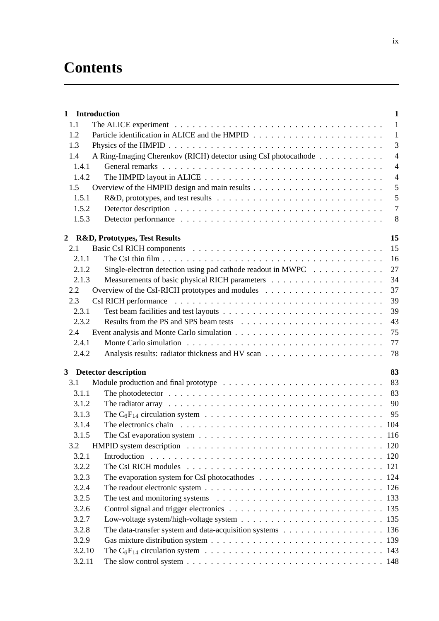## **Contents**

|                | 1 Introduction                                                                                                     | $\mathbf{1}$   |
|----------------|--------------------------------------------------------------------------------------------------------------------|----------------|
| 1.1            |                                                                                                                    | $\mathbf{1}$   |
| 1.2            |                                                                                                                    | $\mathbf{1}$   |
| 1.3            |                                                                                                                    | $\overline{3}$ |
| 1.4            | A Ring-Imaging Cherenkov (RICH) detector using CsI photocathode                                                    | $\overline{4}$ |
| 1.4.1          |                                                                                                                    | $\overline{4}$ |
| 1.4.2          | The HMPID layout in ALICE $\ldots \ldots \ldots \ldots \ldots \ldots \ldots \ldots \ldots \ldots$                  | $\overline{4}$ |
| 1.5            |                                                                                                                    | 5              |
| 1.5.1          |                                                                                                                    | 5              |
| 1.5.2          |                                                                                                                    | $\overline{7}$ |
| 1.5.3          |                                                                                                                    | 8              |
| $\overline{2}$ | <b>R&amp;D, Prototypes, Test Results</b>                                                                           | 15             |
| 2.1            |                                                                                                                    | 15             |
| 2.1.1          |                                                                                                                    | 16             |
| 2.1.2          | Single-electron detection using pad cathode readout in MWPC $\dots \dots \dots \dots$                              | 27             |
| 2.1.3          |                                                                                                                    | 34             |
| 2.2            |                                                                                                                    | 37             |
| 2.3            |                                                                                                                    | 39             |
| 2.3.1          |                                                                                                                    | 39             |
| 2.3.2          |                                                                                                                    | 43             |
|                |                                                                                                                    |                |
| 2.4            |                                                                                                                    | 75             |
| 2.4.1          |                                                                                                                    | 77             |
| 2.4.2          |                                                                                                                    | 78             |
|                | 3 Detector description                                                                                             | 83             |
| 3.1            |                                                                                                                    | 83             |
| 3.1.1          |                                                                                                                    | 83             |
| 3.1.2          | The radiator array $\ldots \ldots \ldots \ldots \ldots \ldots \ldots \ldots \ldots \ldots \ldots \ldots \ldots$    | 90             |
| 3.1.3          |                                                                                                                    | 95             |
| 3.1.4          | The electronics chain $\ldots \ldots \ldots \ldots \ldots \ldots \ldots \ldots \ldots \ldots \ldots$               |                |
| 3.1.5          |                                                                                                                    |                |
| 3.2            |                                                                                                                    |                |
| 3.2.1          |                                                                                                                    |                |
| 3.2.2          | The CsI RICH modules $\ldots \ldots \ldots \ldots \ldots \ldots \ldots \ldots \ldots \ldots \ldots \ldots 121$     |                |
| 3.2.3          | The evaporation system for CsI photocathodes $\dots \dots \dots \dots \dots \dots \dots \dots \dots \dots \dots$   |                |
| 3.2.4          |                                                                                                                    |                |
| 3.2.5          | The test and monitoring systems $\ldots \ldots \ldots \ldots \ldots \ldots \ldots \ldots \ldots \ldots \ldots 133$ |                |
| 3.2.6          |                                                                                                                    |                |
| 3.2.7          |                                                                                                                    |                |
| 3.2.8          | The data-transfer system and data-acquisition systems 136                                                          |                |
| 3.2.9          |                                                                                                                    |                |
| 3.2.10         |                                                                                                                    |                |
| 3.2.11         | The slow control system $\ldots \ldots \ldots \ldots \ldots \ldots \ldots \ldots \ldots \ldots \ldots \ldots 148$  |                |